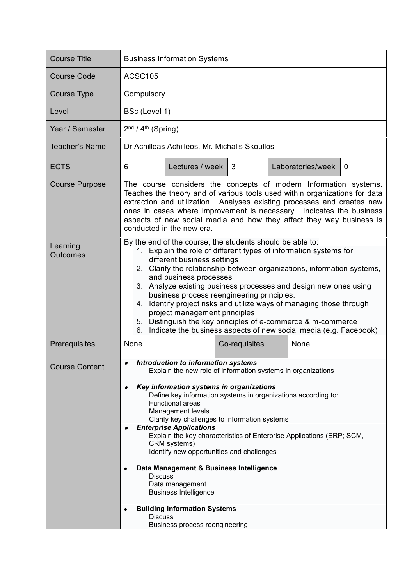| <b>Course Title</b>         | <b>Business Information Systems</b>                                                                                                                                                                                                                                                                                                                                                                                                                                                                                                                                                                                                         |                 |               |  |                   |                |  |
|-----------------------------|---------------------------------------------------------------------------------------------------------------------------------------------------------------------------------------------------------------------------------------------------------------------------------------------------------------------------------------------------------------------------------------------------------------------------------------------------------------------------------------------------------------------------------------------------------------------------------------------------------------------------------------------|-----------------|---------------|--|-------------------|----------------|--|
| <b>Course Code</b>          | <b>ACSC105</b>                                                                                                                                                                                                                                                                                                                                                                                                                                                                                                                                                                                                                              |                 |               |  |                   |                |  |
| <b>Course Type</b>          | Compulsory                                                                                                                                                                                                                                                                                                                                                                                                                                                                                                                                                                                                                                  |                 |               |  |                   |                |  |
| Level                       | BSc (Level 1)                                                                                                                                                                                                                                                                                                                                                                                                                                                                                                                                                                                                                               |                 |               |  |                   |                |  |
| Year / Semester             | $2nd / 4th$ (Spring)                                                                                                                                                                                                                                                                                                                                                                                                                                                                                                                                                                                                                        |                 |               |  |                   |                |  |
| <b>Teacher's Name</b>       | Dr Achilleas Achilleos, Mr. Michalis Skoullos                                                                                                                                                                                                                                                                                                                                                                                                                                                                                                                                                                                               |                 |               |  |                   |                |  |
| <b>ECTS</b>                 | 6                                                                                                                                                                                                                                                                                                                                                                                                                                                                                                                                                                                                                                           | Lectures / week | 3             |  | Laboratories/week | $\overline{0}$ |  |
| <b>Course Purpose</b>       | The course considers the concepts of modern Information systems.<br>Teaches the theory and of various tools used within organizations for data<br>extraction and utilization. Analyses existing processes and creates new<br>ones in cases where improvement is necessary. Indicates the business<br>aspects of new social media and how they affect they way business is<br>conducted in the new era.                                                                                                                                                                                                                                      |                 |               |  |                   |                |  |
| Learning<br><b>Outcomes</b> | By the end of the course, the students should be able to:<br>1. Explain the role of different types of information systems for<br>different business settings<br>2. Clarify the relationship between organizations, information systems,<br>and business processes<br>3. Analyze existing business processes and design new ones using<br>business process reengineering principles.<br>Identify project risks and utilize ways of managing those through<br>4.<br>project management principles<br>5. Distinguish the key principles of e-commerce & m-commerce<br>Indicate the business aspects of new social media (e.g. Facebook)<br>6. |                 |               |  |                   |                |  |
| Prerequisites               | None                                                                                                                                                                                                                                                                                                                                                                                                                                                                                                                                                                                                                                        |                 | Co-requisites |  | None              |                |  |
| <b>Course Content</b>       | <b>Introduction to information systems</b><br>Explain the new role of information systems in organizations                                                                                                                                                                                                                                                                                                                                                                                                                                                                                                                                  |                 |               |  |                   |                |  |
|                             | Key information systems in organizations<br>Define key information systems in organizations according to:<br><b>Functional areas</b><br><b>Management levels</b><br>Clarify key challenges to information systems                                                                                                                                                                                                                                                                                                                                                                                                                           |                 |               |  |                   |                |  |
|                             | <b>Enterprise Applications</b><br>Explain the key characteristics of Enterprise Applications (ERP; SCM,<br>CRM systems)<br>Identify new opportunities and challenges                                                                                                                                                                                                                                                                                                                                                                                                                                                                        |                 |               |  |                   |                |  |
|                             | Data Management & Business Intelligence<br><b>Discuss</b><br>Data management<br><b>Business Intelligence</b>                                                                                                                                                                                                                                                                                                                                                                                                                                                                                                                                |                 |               |  |                   |                |  |
|                             | <b>Building Information Systems</b><br><b>Discuss</b><br>Business process reengineering                                                                                                                                                                                                                                                                                                                                                                                                                                                                                                                                                     |                 |               |  |                   |                |  |